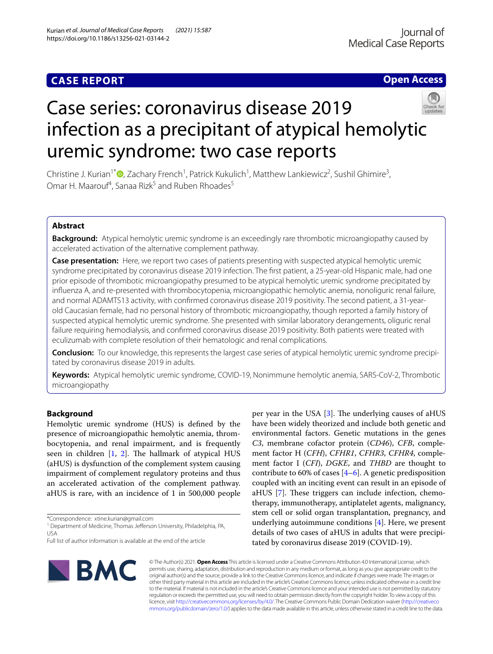# **CASE REPORT**

# **Open Access**



# Case series: coronavirus disease 2019 infection as a precipitant of atypical hemolytic uremic syndrome: two case reports

Christine J. Kurian<sup>1\*</sup><sup>®</sup>[,](http://orcid.org/0000-0002-8295-6414) Zachary French<sup>1</sup>, Patrick Kukulich<sup>1</sup>, Matthew Lankiewicz<sup>2</sup>, Sushil Ghimire<sup>3</sup>, Omar H. Maarouf<sup>4</sup>, Sanaa Rizk<sup>5</sup> and Ruben Rhoades<sup>5</sup>

## **Abstract**

**Background:** Atypical hemolytic uremic syndrome is an exceedingly rare thrombotic microangiopathy caused by accelerated activation of the alternative complement pathway.

**Case presentation:** Here, we report two cases of patients presenting with suspected atypical hemolytic uremic syndrome precipitated by coronavirus disease 2019 infection. The frst patient, a 25-year-old Hispanic male, had one prior episode of thrombotic microangiopathy presumed to be atypical hemolytic uremic syndrome precipitated by infuenza A, and re-presented with thrombocytopenia, microangiopathic hemolytic anemia, nonoliguric renal failure, and normal ADAMTS13 activity, with confrmed coronavirus disease 2019 positivity. The second patient, a 31-yearold Caucasian female, had no personal history of thrombotic microangiopathy, though reported a family history of suspected atypical hemolytic uremic syndrome. She presented with similar laboratory derangements, oliguric renal failure requiring hemodialysis, and confrmed coronavirus disease 2019 positivity. Both patients were treated with eculizumab with complete resolution of their hematologic and renal complications.

**Conclusion:** To our knowledge, this represents the largest case series of atypical hemolytic uremic syndrome precipitated by coronavirus disease 2019 in adults.

**Keywords:** Atypical hemolytic uremic syndrome, COVID-19, Nonimmune hemolytic anemia, SARS-CoV-2, Thrombotic microangiopathy

## **Background**

Hemolytic uremic syndrome (HUS) is defned by the presence of microangiopathic hemolytic anemia, thrombocytopenia, and renal impairment, and is frequently seen in children  $[1, 2]$  $[1, 2]$  $[1, 2]$ . The hallmark of atypical HUS (aHUS) is dysfunction of the complement system causing impairment of complement regulatory proteins and thus an accelerated activation of the complement pathway. aHUS is rare, with an incidence of 1 in 500,000 people

\*Correspondence: xtine.kurian@gmail.com

<sup>1</sup> Department of Medicine, Thomas Jefferson University, Philadelphia, PA, USA

per year in the USA  $[3]$  $[3]$  $[3]$ . The underlying causes of aHUS have been widely theorized and include both genetic and environmental factors. Genetic mutations in the genes *C3*, membrane cofactor protein (*CD46*), *CFB*, complement factor H (*CFH*), *CFHR1*, *CFHR3*, *CFHR4*, complement factor I (*CFI*), *DGKE*, and *THBD* are thought to contribute to [6](#page-4-4)0% of cases  $[4-6]$ . A genetic predisposition coupled with an inciting event can result in an episode of aHUS [[7\]](#page-4-5). These triggers can include infection, chemotherapy, immunotherapy, antiplatelet agents, malignancy, stem cell or solid organ transplantation, pregnancy, and underlying autoimmune conditions [[4\]](#page-4-3). Here, we present details of two cases of aHUS in adults that were precipitated by coronavirus disease 2019 (COVID-19).



© The Author(s) 2021. **Open Access** This article is licensed under a Creative Commons Attribution 4.0 International License, which permits use, sharing, adaptation, distribution and reproduction in any medium or format, as long as you give appropriate credit to the original author(s) and the source, provide a link to the Creative Commons licence, and indicate if changes were made. The images or other third party material in this article are included in the article's Creative Commons licence, unless indicated otherwise in a credit line to the material. If material is not included in the article's Creative Commons licence and your intended use is not permitted by statutory regulation or exceeds the permitted use, you will need to obtain permission directly from the copyright holder. To view a copy of this licence, visit [http://creativecommons.org/licenses/by/4.0/.](http://creativecommons.org/licenses/by/4.0/) The Creative Commons Public Domain Dedication waiver ([http://creativeco](http://creativecommons.org/publicdomain/zero/1.0/) [mmons.org/publicdomain/zero/1.0/](http://creativecommons.org/publicdomain/zero/1.0/)) applies to the data made available in this article, unless otherwise stated in a credit line to the data.

Full list of author information is available at the end of the article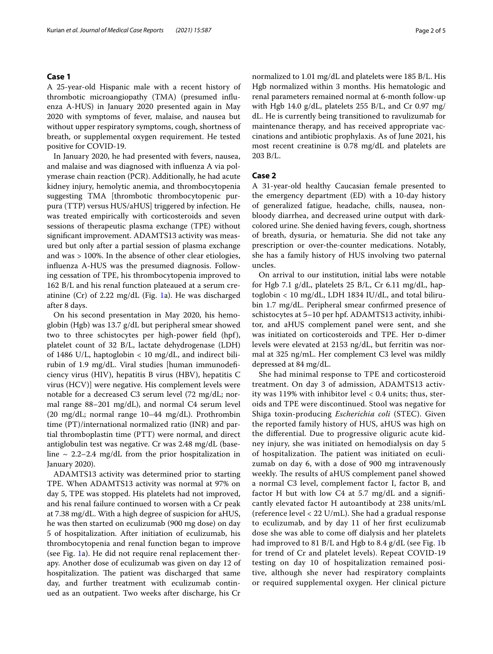#### **Case 1**

A 25-year-old Hispanic male with a recent history of thrombotic microangiopathy (TMA) (presumed infuenza A-HUS) in January 2020 presented again in May 2020 with symptoms of fever, malaise, and nausea but without upper respiratory symptoms, cough, shortness of breath, or supplemental oxygen requirement. He tested positive for COVID-19.

In January 2020, he had presented with fevers, nausea, and malaise and was diagnosed with infuenza A via polymerase chain reaction (PCR). Additionally, he had acute kidney injury, hemolytic anemia, and thrombocytopenia suggesting TMA [thrombotic thrombocytopenic purpura (TTP) versus HUS/aHUS] triggered by infection. He was treated empirically with corticosteroids and seven sessions of therapeutic plasma exchange (TPE) without signifcant improvement. ADAMTS13 activity was measured but only after a partial session of plasma exchange and was > 100%. In the absence of other clear etiologies, infuenza A-HUS was the presumed diagnosis. Following cessation of TPE, his thrombocytopenia improved to 162 B/L and his renal function plateaued at a serum creatinine (Cr) of 2.22 mg/dL (Fig. [1](#page-2-0)a). He was discharged after 8 days.

On his second presentation in May 2020, his hemoglobin (Hgb) was 13.7 g/dL but peripheral smear showed two to three schistocytes per high-power feld (hpf), platelet count of 32 B/L, lactate dehydrogenase (LDH) of 1486 U/L, haptoglobin < 10 mg/dL, and indirect bilirubin of 1.9 mg/dL. Viral studies [human immunodefciency virus (HIV), hepatitis B virus (HBV), hepatitis C virus (HCV)] were negative. His complement levels were notable for a decreased C3 serum level (72 mg/dL; normal range 88–201 mg/dL), and normal C4 serum level (20 mg/dL; normal range 10–44 mg/dL). Prothrombin time (PT)/international normalized ratio (INR) and partial thromboplastin time (PTT) were normal, and direct antiglobulin test was negative. Cr was 2.48 mg/dL (baseline  $\sim$  2.2–2.4 mg/dL from the prior hospitalization in January 2020).

ADAMTS13 activity was determined prior to starting TPE. When ADAMTS13 activity was normal at 97% on day 5, TPE was stopped. His platelets had not improved, and his renal failure continued to worsen with a Cr peak at 7.38 mg/dL. With a high degree of suspicion for aHUS, he was then started on eculizumab (900 mg dose) on day 5 of hospitalization. After initiation of eculizumab, his thrombocytopenia and renal function began to improve (see Fig. [1a](#page-2-0)). He did not require renal replacement therapy. Another dose of eculizumab was given on day 12 of hospitalization. The patient was discharged that same day, and further treatment with eculizumab continued as an outpatient. Two weeks after discharge, his Cr normalized to 1.01 mg/dL and platelets were 185 B/L. His Hgb normalized within 3 months. His hematologic and renal parameters remained normal at 6-month follow-up with Hgb 14.0 g/dL, platelets 255 B/L, and Cr 0.97 mg/ dL. He is currently being transitioned to ravulizumab for maintenance therapy, and has received appropriate vaccinations and antibiotic prophylaxis. As of June 2021, his most recent creatinine is 0.78 mg/dL and platelets are 203 B/L.

#### **Case 2**

A 31-year-old healthy Caucasian female presented to the emergency department (ED) with a 10-day history of generalized fatigue, headache, chills, nausea, nonbloody diarrhea, and decreased urine output with darkcolored urine. She denied having fevers, cough, shortness of breath, dysuria, or hematuria. She did not take any prescription or over-the-counter medications. Notably, she has a family history of HUS involving two paternal uncles.

On arrival to our institution, initial labs were notable for Hgb 7.1 g/dL, platelets 25 B/L, Cr 6.11 mg/dL, haptoglobin < 10 mg/dL, LDH 1834 IU/dL, and total bilirubin 1.7 mg/dL. Peripheral smear confrmed presence of schistocytes at 5–10 per hpf. ADAMTS13 activity, inhibitor, and aHUS complement panel were sent, and she was initiated on corticosteroids and TPE. Her p-dimer levels were elevated at 2153 ng/dL, but ferritin was normal at 325 ng/mL. Her complement C3 level was mildly depressed at 84 mg/dL.

She had minimal response to TPE and corticosteroid treatment. On day 3 of admission, ADAMTS13 activity was 119% with inhibitor level < 0.4 units; thus, steroids and TPE were discontinued. Stool was negative for Shiga toxin-producing *Escherichia coli* (STEC). Given the reported family history of HUS, aHUS was high on the diferential. Due to progressive oliguric acute kidney injury, she was initiated on hemodialysis on day 5 of hospitalization. The patient was initiated on eculizumab on day 6, with a dose of 900 mg intravenously weekly. The results of aHUS complement panel showed a normal C3 level, complement factor I, factor B, and factor H but with low C4 at 5.7 mg/dL and a signifcantly elevated factor H autoantibody at 238 units/mL (reference level < 22 U/mL). She had a gradual response to eculizumab, and by day 11 of her frst eculizumab dose she was able to come of dialysis and her platelets had improved to 81 B/L and Hgb to 8.4 g/dL (see Fig. [1](#page-2-0)b for trend of Cr and platelet levels). Repeat COVID-19 testing on day 10 of hospitalization remained positive, although she never had respiratory complaints or required supplemental oxygen. Her clinical picture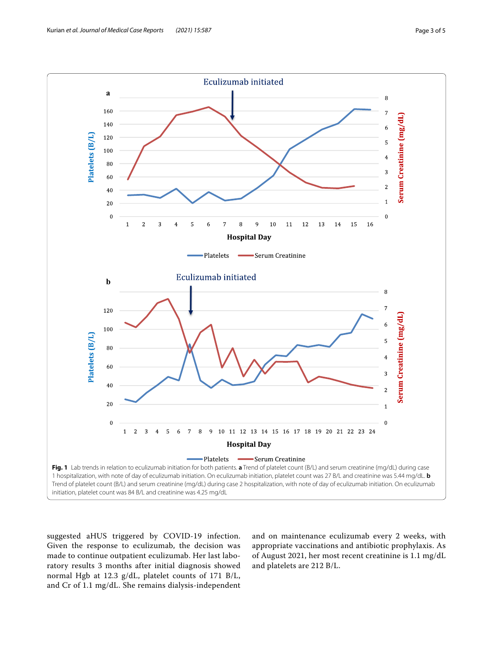

<span id="page-2-0"></span>suggested aHUS triggered by COVID-19 infection. Given the response to eculizumab, the decision was made to continue outpatient eculizumab. Her last laboratory results 3 months after initial diagnosis showed normal Hgb at 12.3 g/dL, platelet counts of 171 B/L, and Cr of 1.1 mg/dL. She remains dialysis-independent

and on maintenance eculizumab every 2 weeks, with appropriate vaccinations and antibiotic prophylaxis. As of August 2021, her most recent creatinine is 1.1 mg/dL and platelets are 212 B/L.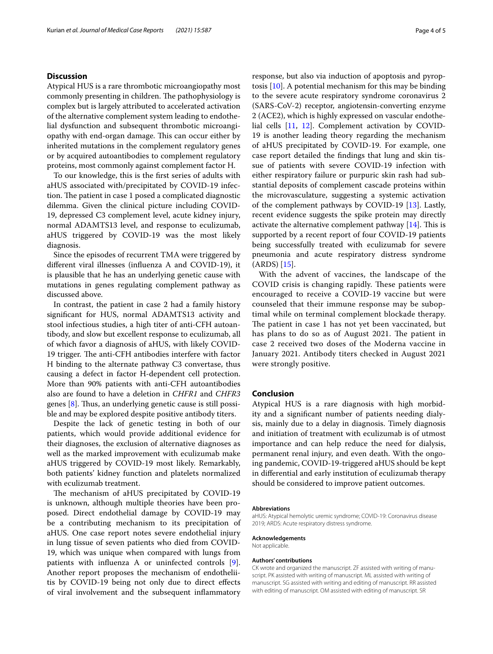#### **Discussion**

Atypical HUS is a rare thrombotic microangiopathy most commonly presenting in children. The pathophysiology is complex but is largely attributed to accelerated activation of the alternative complement system leading to endothelial dysfunction and subsequent thrombotic microangiopathy with end-organ damage. This can occur either by inherited mutations in the complement regulatory genes or by acquired autoantibodies to complement regulatory proteins, most commonly against complement factor H.

To our knowledge, this is the frst series of adults with aHUS associated with/precipitated by COVID-19 infection. The patient in case 1 posed a complicated diagnostic dilemma. Given the clinical picture including COVID-19, depressed C3 complement level, acute kidney injury, normal ADAMTS13 level, and response to eculizumab, aHUS triggered by COVID-19 was the most likely diagnosis.

Since the episodes of recurrent TMA were triggered by diferent viral illnesses (infuenza A and COVID-19), it is plausible that he has an underlying genetic cause with mutations in genes regulating complement pathway as discussed above.

In contrast, the patient in case 2 had a family history signifcant for HUS, normal ADAMTS13 activity and stool infectious studies, a high titer of anti-CFH autoantibody, and slow but excellent response to eculizumab, all of which favor a diagnosis of aHUS, with likely COVID-19 trigger. The anti-CFH antibodies interfere with factor H binding to the alternate pathway C3 convertase, thus causing a defect in factor H-dependent cell protection. More than 90% patients with anti-CFH autoantibodies also are found to have a deletion in *CHFR1* and *CHFR3* genes  $[8]$  $[8]$ . Thus, an underlying genetic cause is still possible and may be explored despite positive antibody titers.

Despite the lack of genetic testing in both of our patients, which would provide additional evidence for their diagnoses, the exclusion of alternative diagnoses as well as the marked improvement with eculizumab make aHUS triggered by COVID-19 most likely. Remarkably, both patients' kidney function and platelets normalized with eculizumab treatment.

The mechanism of aHUS precipitated by COVID-19 is unknown, although multiple theories have been proposed. Direct endothelial damage by COVID-19 may be a contributing mechanism to its precipitation of aHUS. One case report notes severe endothelial injury in lung tissue of seven patients who died from COVID-19, which was unique when compared with lungs from patients with infuenza A or uninfected controls [\[9](#page-4-7)]. Another report proposes the mechanism of endotheliitis by COVID-19 being not only due to direct efects of viral involvement and the subsequent infammatory response, but also via induction of apoptosis and pyroptosis [[10\]](#page-4-8). A potential mechanism for this may be binding to the severe acute respiratory syndrome coronavirus 2 (SARS-CoV-2) receptor, angiotensin-converting enzyme 2 (ACE2), which is highly expressed on vascular endothelial cells [[11,](#page-4-9) [12](#page-4-10)]. Complement activation by COVID-19 is another leading theory regarding the mechanism of aHUS precipitated by COVID-19. For example, one case report detailed the fndings that lung and skin tissue of patients with severe COVID-19 infection with either respiratory failure or purpuric skin rash had substantial deposits of complement cascade proteins within the microvasculature, suggesting a systemic activation of the complement pathways by COVID-19 [[13\]](#page-4-11). Lastly, recent evidence suggests the spike protein may directly activate the alternative complement pathway  $[14]$ . This is supported by a recent report of four COVID-19 patients being successfully treated with eculizumab for severe pneumonia and acute respiratory distress syndrome (ARDS) [\[15\]](#page-4-13).

With the advent of vaccines, the landscape of the COVID crisis is changing rapidly. These patients were encouraged to receive a COVID-19 vaccine but were counseled that their immune response may be suboptimal while on terminal complement blockade therapy. The patient in case 1 has not yet been vaccinated, but has plans to do so as of August 2021. The patient in case 2 received two doses of the Moderna vaccine in January 2021. Antibody titers checked in August 2021 were strongly positive.

#### **Conclusion**

Atypical HUS is a rare diagnosis with high morbidity and a signifcant number of patients needing dialysis, mainly due to a delay in diagnosis. Timely diagnosis and initiation of treatment with eculizumab is of utmost importance and can help reduce the need for dialysis, permanent renal injury, and even death. With the ongoing pandemic, COVID-19-triggered aHUS should be kept in diferential and early institution of eculizumab therapy should be considered to improve patient outcomes.

#### **Abbreviations**

aHUS: Atypical hemolytic uremic syndrome; COVID-19: Coronavirus disease 2019; ARDS: Acute respiratory distress syndrome.

#### **Acknowledgements**

Not applicable.

#### **Authors' contributions**

CK wrote and organized the manuscript. ZF assisted with writing of manuscript. PK assisted with writing of manuscript. ML assisted with writing of manuscript. SG assisted with writing and editing of manuscript. RR assisted with editing of manuscript. OM assisted with editing of manuscript. SR